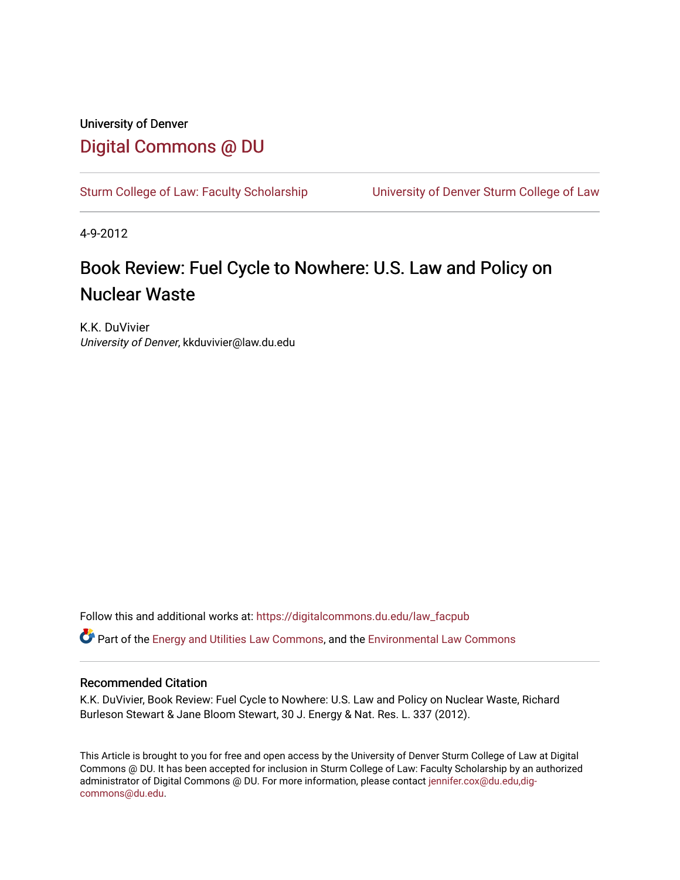# University of Denver [Digital Commons @ DU](https://digitalcommons.du.edu/)

[Sturm College of Law: Faculty Scholarship](https://digitalcommons.du.edu/law_facpub) [University of Denver Sturm College of Law](https://digitalcommons.du.edu/denver_law) 

4-9-2012

# Book Review: Fuel Cycle to Nowhere: U.S. Law and Policy on Nuclear Waste

K.K. DuVivier University of Denver, kkduvivier@law.du.edu

Follow this and additional works at: [https://digitalcommons.du.edu/law\\_facpub](https://digitalcommons.du.edu/law_facpub?utm_source=digitalcommons.du.edu%2Flaw_facpub%2F326&utm_medium=PDF&utm_campaign=PDFCoverPages) 

 $\bullet$  Part of the [Energy and Utilities Law Commons,](http://network.bepress.com/hgg/discipline/891?utm_source=digitalcommons.du.edu%2Flaw_facpub%2F326&utm_medium=PDF&utm_campaign=PDFCoverPages) and the Environmental Law Commons

#### Recommended Citation

K.K. DuVivier, Book Review: Fuel Cycle to Nowhere: U.S. Law and Policy on Nuclear Waste, Richard Burleson Stewart & Jane Bloom Stewart, 30 J. Energy & Nat. Res. L. 337 (2012).

This Article is brought to you for free and open access by the University of Denver Sturm College of Law at Digital Commons @ DU. It has been accepted for inclusion in Sturm College of Law: Faculty Scholarship by an authorized administrator of Digital Commons @ DU. For more information, please contact [jennifer.cox@du.edu,dig](mailto:jennifer.cox@du.edu,dig-commons@du.edu)[commons@du.edu.](mailto:jennifer.cox@du.edu,dig-commons@du.edu)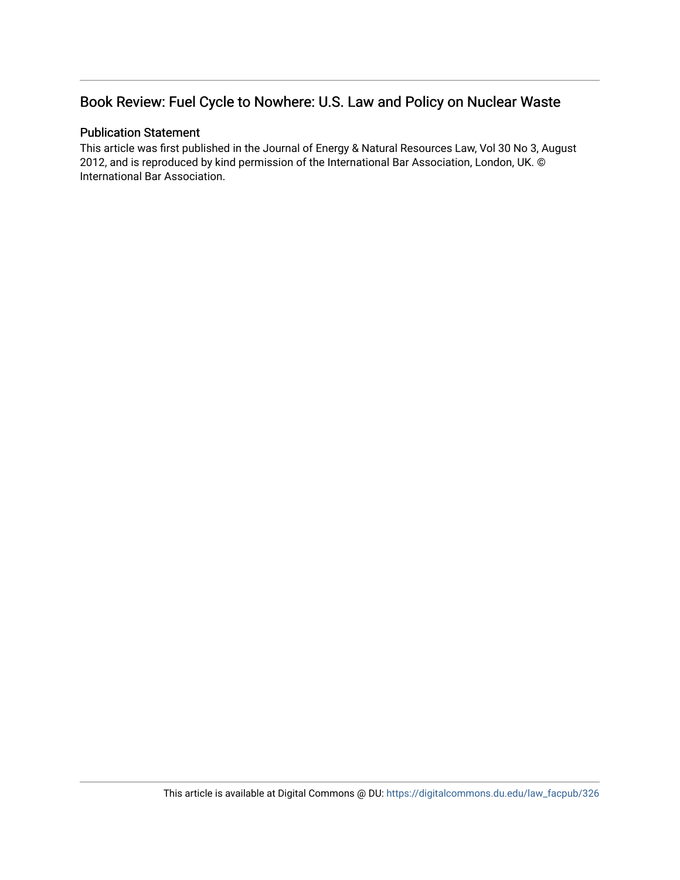# Book Review: Fuel Cycle to Nowhere: U.S. Law and Policy on Nuclear Waste

# Publication Statement

This article was first published in the Journal of Energy & Natural Resources Law, Vol 30 No 3, August 2012, and is reproduced by kind permission of the International Bar Association, London, UK. © International Bar Association.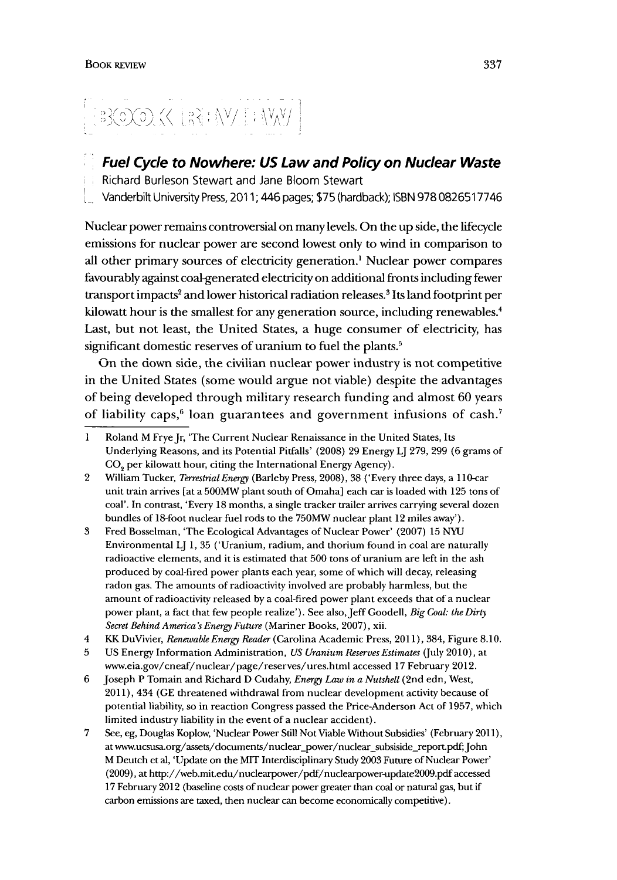# 

# **Fuel Cyde to Nowhere: US Law and Policy on Nudear Waste**

Richard Burleson Stewart and Jane Bloom Stewart

Vanderbilt University Press, **2011;** 446 pages; **\$75** (hardback); **ISBN 978 0826517746**

Nuclear power remains controversial on many levels. On the up side, the lifecycle emissions for nuclear power are second lowest only to wind in comparison to all other primary sources of electricity generation.' Nuclear power compares favourably against coal-generated electricity on additional fronts including fewer transport impacts<sup>2</sup> and lower historical radiation releases.<sup>3</sup> Its land footprint per kilowatt hour is the smallest for any generation source, including renewables.<sup>4</sup> Last, but not least, the United States, a huge consumer of electricity, has significant domestic reserves of uranium to fuel the plants.<sup>5</sup>

On the down side, the civilian nuclear power industry is not competitive in the United States (some would argue not viable) despite the advantages of being developed through military research funding and almost **60** years of liability caps, $6$  loan guarantees and government infusions of cash.<sup>7</sup>

**I** Roland M Frye Jr, 'The Current Nuclear Renaissance in the United States, Its Underlying Reasons, and its Potential Pitfalls' **(2008) 29** Energy LJ **279, 299 (6** grams of **CO2** per kilowatt hour, citing the International Energy Agency).

<sup>2</sup> William Tucker, *TerrestrialEnergy* (Barleby Press, **2008), 38** ('Every three days, a 110-car unit train a-rives [at a 500MW plant south of Omaha] each car is loaded with **125** tons of coal'. In contrast, 'Every **18** months, a single tracker trailer arrives carrying several dozen bundles of 18-foot nuclear fuel rods to the 750MW nuclear plant 12 miles away').

**<sup>3</sup>** Fred Bosselman, 'The Ecological Advantages of Nuclear Power' **(2007) 15 NYU** Environmental LJ **1, 35** ('Uranium, radium, and thorium found in coal are naturally radioactive elements, and it is estimated that **500** tons of uranium are left in the ash produced **by** coal-fired power plants each year, some of which will decay, releasing radon gas. The amounts of radioactivity involved are probably harmless, but the amount **of** radioactivity released **by** a coal-fired power plant exceeds that **of** *a* nuclear power plant, a fact that few people realize'). See also, Jeff Goodell, *Big Coal: the Dirty Secret Behind America's Energy Future* (Mariner Books, **2007),** xii.

<sup>4</sup> KK DuVivier, *Renewable Energy Reader* (Carolina Academic Press, 2011), 384, Figure **8.10.**

**<sup>5</sup> US** Energy Information Administration, *US Uranium Reserves Estimates* (July **2010),** at www.eia.gov/cneaf/nuclear/page/reserves/ures.html accessed **17** February 2012.

**<sup>6</sup>** Joseph P Tomain and Richard **D** Cudahy, *Energy Law in a Nutshell* (2nd edn, West, 2011), 434 **(GE** threatened withdrawal from nuclear development activity because of potential liability, so in reaction Congress passed the Price-Anderson Act of **1957,** which limited industry liability in the event of a nuclear accident).

**<sup>7</sup>** See, eg, Douglas Koplow, 'Nuclear Power Still Not Viable Without Subsidies' (February **2011),** at www.ucsusa.org/assets/documents/nuclear\_power/nuclear\_subsiside\_report.pdf; John M Deutch et al, 'Update on the MIT Interdisciplinary Study **2003** Future of Nuclear Power' **(2009),** at http://web.mit.edu/nuclearpower/pdf/nuclearpower-update2009.pdf accessed **17** February 2012 (baseline costs of nuclear power greater than coal or natural gas, but if carbon emissions are taxed, then nuclear can become economically competitive).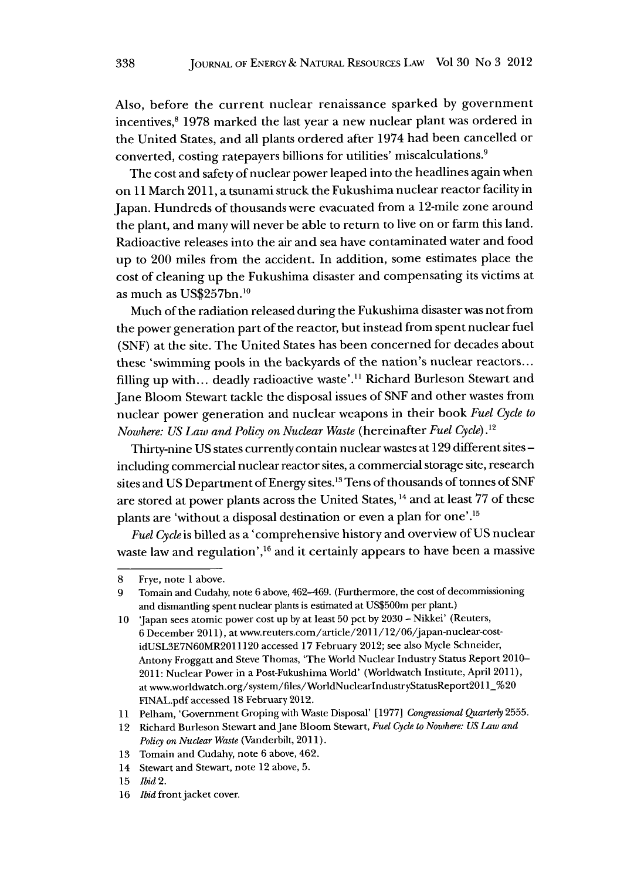Also, before the current nuclear renaissance sparked **by** government incentives,' **1978** marked the last year a new nuclear plant was ordered in the United States, and all plants ordered after 1974 had been cancelled or converted, costing ratepayers billions for utilities' miscalculations.9

The cost and safety of nuclear power leaped into the headlines again when on 11 March **2011,** a tsunami struck the Fukushima nuclear reactor facility in Japan. Hundreds of thousands were evacuated from a 12-mile zone around the plant, and many will never be able to return to live on or farm this land. Radioactive releases into the air and sea have contaminated water and food up to 200 miles from the accident. In addition, some estimates place the cost of cleaning up the Fukushima disaster and compensating its victims at as much as  $US$257bn.<sup>10</sup>$ 

Much of the radiation released during the Fukushima disaster was not from the power generation part of the reactor, but instead from spent nuclear fuel **(SNF)** at the site. The United States has been concerned for decades about these 'swimming pools in the backyards of the nation's nuclear reactors... filling up **with...** deadly radioactive waste'." Richard Burleson Stewart and Jane Bloom Stewart tackle the disposal issues of **SNF** and other wastes from nuclear power generation and nuclear weapons in their book *Fuel Cycle to Nowhere: US Law and Policy on Nuclear Waste* (hereinafter *Fuel Cycle) ."*

Thirty-nine **US** states currently contain nuclear wastes at **129** different sites  including commercial nuclear reactor sites, a commercial storage site, research sites and **US** Department of Energy sites." Tens of thousands of tonnes of **SNF** are stored at power plants across the United States, <sup>14</sup> and at least 77 of these plants are 'without a disposal destination or even a plan for one'.

*Fuel Cycle* is billed as a 'comprehensive history and overview of **US** nuclear waste law and regulation',<sup>16</sup> and it certainly appears to have been a massive

**<sup>8</sup>** Frye, note 1 above.

**<sup>9</sup>** Tomain and Cudahy, note **6** above, 462-469. (Furthermore, the cost of decommissioning and dismantling spent nuclear plants is estimated at US\$500m per plant.)

**<sup>10</sup>** 'Japan sees atomic power cost up **by** at least **50** pct **by 2030 -** Nikkei' (Reuters, **6** December **2011),** at www.reuters.com/article/2011/12/06/japan-nuclear-cost**idUSL3E7N60MR2011120** accessed **17** February 2012; see also Mycle Schneider, Antony Froggatt and Steve Thomas, 'The World Nuclear Industry Status Report 2010- **2011:** Nuclear Power in a Post-Fukushima World' (Worldwatch Institute, April **2011),** at www.worldwatch.org/system/files/WorldNuclearIndustryStatusReport2011\_%20 **FINAL.pdf** accessed **18** February 2012.

**<sup>11</sup>** Pelham, 'Government Groping with Waste Disposal' **[1977]** *Congressional Quarterly* **2555.**

<sup>12</sup> Richard Burleson Stewart andJane Bloom Stewart, *Fuel Cycle to Nowhere: US Law and Policy on Nuclear Waste* (Vanderbilt, **2011).**

**<sup>13</sup>** Tomain and Cudahy, note **6** above, 462.

<sup>14</sup> Stewart and Stewart, note 12 above, **5.**

**<sup>15</sup>** *Ibid* 2.

**<sup>16</sup>** Ibid frontjacket cover.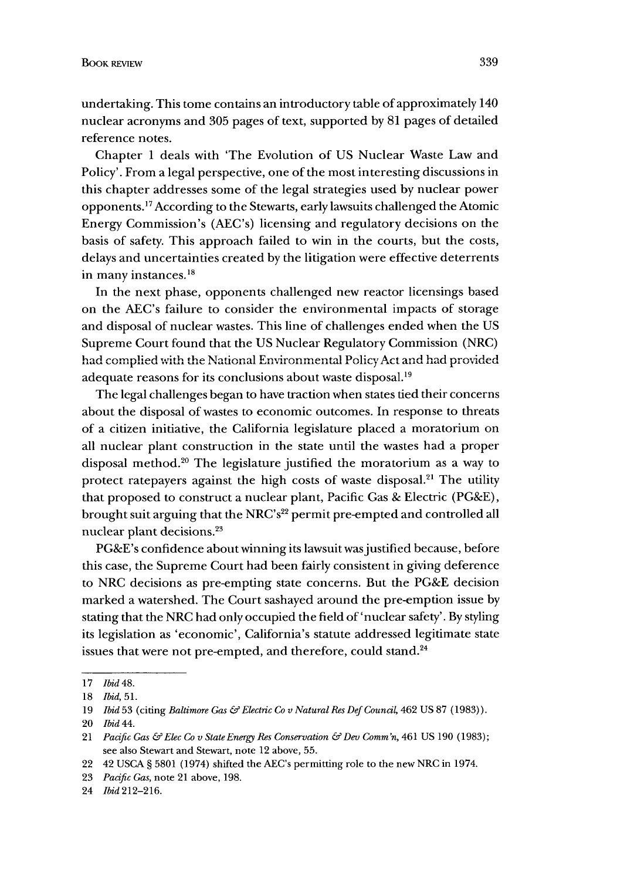undertaking. This tome contains an introductory table of approximately 140 nuclear acronyms and **305** pages of text, supported **by 81** pages of detailed reference notes.

Chapter 1 deals with 'The Evolution of **US** Nuclear Waste Law and Policy'. From a legal perspective, one of the most interesting discussions in this chapter addresses some of the legal strategies used **by** nuclear power opponents." According to the Stewarts, early lawsuits challenged the Atomic Energy Commission's (AEC's) licensing and regulatory decisions on the basis of safety. This approach failed to win in the courts, but the costs, delays and uncertainties created **by** the litigation were effective deterrents in many instances.<sup>18</sup>

In the next phase, opponents challenged new reactor licensings based on the AEC's failure to consider the environmental impacts of storage and disposal of nuclear wastes. This line of challenges ended when the **US** Supreme Court found that the **US** Nuclear Regulatory Commission (NRC) had complied with the National Environmental Policy Act and had provided adequate reasons for its conclusions about waste disposal.<sup>19</sup>

The legal challenges began to have traction when states tied their concerns about the disposal of wastes to economic outcomes. In response to threats of a citizen initiative, the California legislature placed a moratorium on all nuclear plant construction in the state until the wastes had a proper disposal method.<sup>20</sup> The legislature justified the moratorium as a way to protect ratepayers against the high costs of waste disposal.<sup>21</sup> The utility that proposed to construct a nuclear plant, Pacific Gas **&** Electric **(PG&E),** brought suit arguing that the NRC's<sup>22</sup> permit pre-empted and controlled all nuclear plant decisions.<sup>23</sup>

PG&E's confidence about winning its lawsuit was justified because, before this case, the Supreme Court had been fairly consistent in giving deference to NRC decisions as pre-empting state concerns. But the **PG&E** decision marked a watershed. The Court sashayed around the pre-emption issue **by** stating that the NRC had only occupied the field of 'nuclear safety'. **By** styling its legislation as 'economic', California's statute addressed legitimate state issues that were not pre-empted, and therefore, could stand.<sup>24</sup>

22 42 **USCA § 5801** (1974) shifted the AEC's permitting role to the new NRC in 1974.

**<sup>17</sup>** *Ibid 48.*

**<sup>18</sup>** *lbid, 51.*

<sup>19</sup> *Ibid* 53 (citing *Baltimore Gas & Electric Co v Natural Res Def Council*, 462 US 87 (1983)).

<sup>20</sup> *Ibid 44.*

<sup>21</sup> *Pacific Gas & Elec Co v State Enery Res Conservation & Dev Comm'n,* 461 **US 190 (1983);** see also Stewart and Stewart, note 12 above, **55.**

**<sup>23</sup>** *Pacific Gas,* note 21 above, **198.**

<sup>24</sup> *lbid* **212-216.**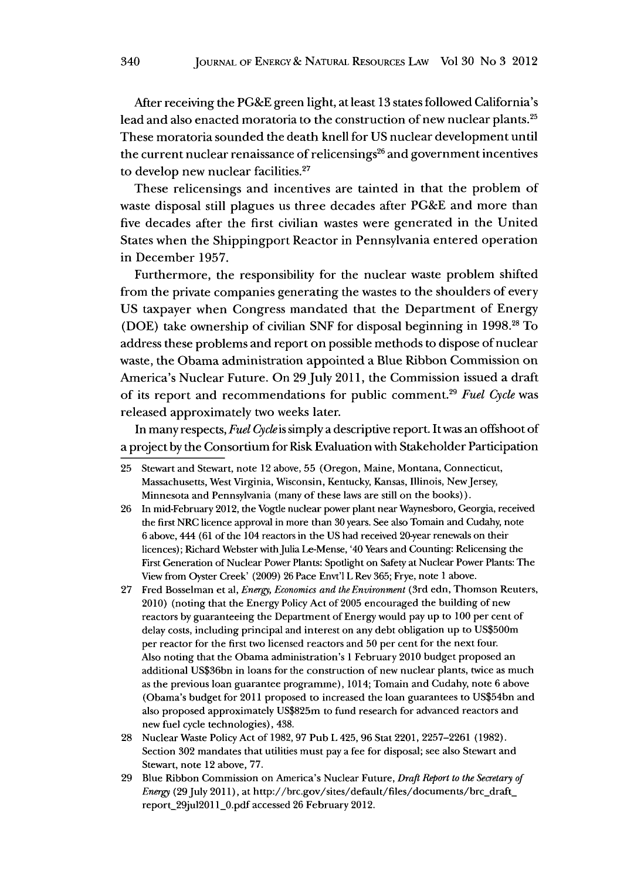After receiving the **PG&E** green light, at least **13** states followed California's lead and also enacted moratoria to the construction of new nuclear plants.<sup>25</sup> These moratoria sounded the death knell for **US** nuclear development until the current nuclear renaissance of relicensings<sup>26</sup> and government incentives to develop new nuclear facilities.<sup>27</sup>

These relicensings and incentives are tainted in that the problem of waste disposal still plagues us three decades after **PG&E** and more than five decades after the first civilian wastes were generated in the United States when the Shippingport Reactor in Pennsylvania entered operation in December **1957.**

Furthermore, the responsibility for the nuclear waste problem shifted from the private companies generating the wastes to the shoulders of every **US** taxpayer when Congress mandated that the Department of Energy **(DOE)** take ownership of civilian **SNF** for disposal beginning in **1998.28** To address these problems and report on possible methods to dispose of nuclear waste, the Obama administration appointed a Blue Ribbon Commission on America's Nuclear Future. On **29** July **2011,** the Commission issued a draft of its report and recommendations for public comment.29 *Fuel Cycle* was released approximately two weeks later.

In many respects, *Fuel Cycleis* simply a descriptive report. It was an offshoot of a project **by** the Consortium for Risk Evaluation with Stakeholder Participation

- **25** Stewart and Stewart, note 12 above, **55** (Oregon, Maine, Montana, Connecticut, Massachusetts, West Virginia, Wisconsin, Kentucky, Kansas, Illinois, NewJersey, Minnesota and Pennsylvania (many of these laws are still on the books)).
- **26** In mid-February 2012, the Vogtle nuclear power plant near Waynesboro, Georgia, received the first NRC licence approval in more than **30** years. See also Tomain and Cudahy, note **6** above, 444 **(61** of the 104 reactors in the **US** had received 20-year renewals on their licences); Richard Webster with Julia Le-Mense, '40 Years and Counting: Relicensing the First Generation of Nuclear Power Plants: Spotlight on Safety at Nuclear Power Plants: The View from Oyster Creek' **(2009) 26** Pace Envt'l L Rev **365;** Frye, note 1 above.
- **27** Fred Bosselman et al, *Energy, Economics and the Environment* (3rd edn, Thomson Reuters, 2010) (noting that the Energy Policy Act of **2005** encouraged the building of new reactors **by** guaranteeing the Department of Energy would pay up to **100** per cent of delay costs, including principal and interest on any debt obligation up to US\$500m per reactor for the first two licensed reactors and **50** per cent for the next four. Also noting that the Obama administration's 1 February 2010 budget proposed an additional US\$36bn in loans for the construction of new nuclear plants, twice as much as the previous loan guarantee programme), 1014; Tomain and Cudahy, note **6** above (Obama's budget for 2011 proposed to increased the loan guarantees to US\$54bn and also proposed approximately US\$825m to fund research for advanced reactors and new fuel cycle technologies), 438.
- **28** Nuclear Waste Policy Act of **1982, 97** Pub L 425, **96** Stat 2201, **2257-2261 (1982).** Section **302** mandates that utilities must pay a fee for disposal; see also Stewart and Stewart, note 12 above, **77.**
- **29** Blue Ribbon Commission on America's Nuclear Future, *Draft Report to the Secretary of Energy* (29 July 2011), at http://brc.gov/sites/default/files/documents/brc\_draft\_ report\_29jul2011 **\_O.pdf** accessed **26** February 2012.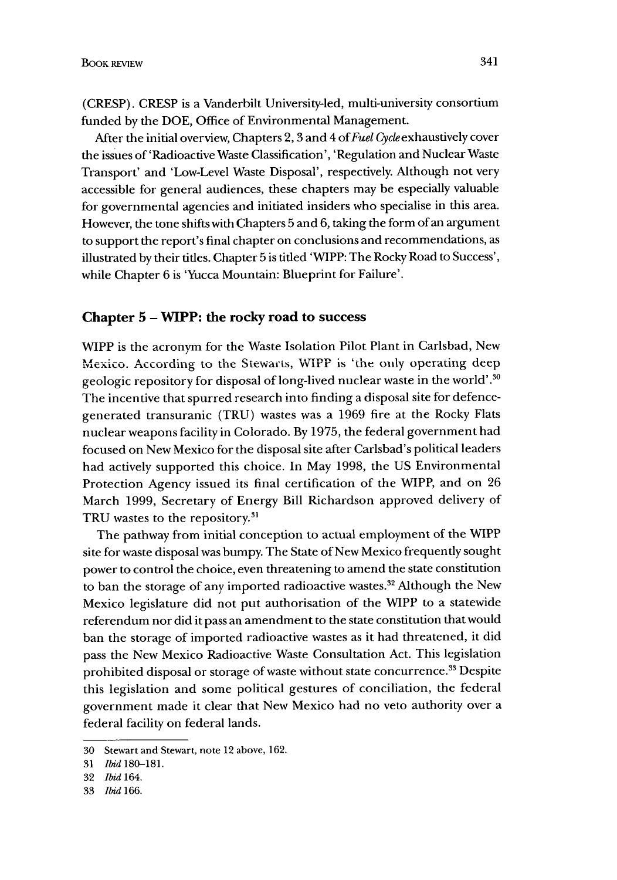(CRESP). CRESP is a Vanderbilt University-led, multi-university consortium funded **by** the **DOE,** Office of Environmental Management.

After the initial overview, Chapters 2, **3** and *4 ofFuel* Cycle exhaustively cover the issues of 'Radioactive Waste Classification', 'Regulation and Nuclear Waste Transport' and 'Low-Level Waste Disposal', respectively. Although not very accessible for general audiences, these chapters may be especially valuable for governmental agencies and initiated insiders who specialise in this area. However, the tone shifts with Chapters **5** and **6,** taking the form of an argument to support the report's final chapter on conclusions and recommendations, as illustrated **by** their titles. Chapter **5** is titled 'WIPP: The Rocky Road to Success', while Chapter **6** is 'Yucca Mountain: Blueprint for Failure'.

#### **Chapter 5 - WIPP: the rocky road to success**

WIPP is the acronym for the Waste Isolation Pilot Plant in Carlsbad, New Mexico. According to the Stewarts, WIPP is 'the only operating deep geologic repository for disposal of long-lived nuclear waste in the world'.<sup>30</sup> The incentive that spurred research into finding a disposal site for defencegenerated transuranic (TRU) wastes was a **1969** fire at the Rocky Flats nuclear weapons facility in Colorado. **By 1975,** the federal government had focused on New Mexico for the disposal site after Carlsbad's political leaders had actively supported this choice. In May **1998,** the **US** Environmental Protection Agency issued its final certification of the WIPP, and on **26** March **1999,** Secretary of Energy Bill Richardson approved delivery of TRU wastes to the repository.<sup>31</sup>

The pathway from initial conception to actual employment of the WIPP site for waste disposal was bumpy. The State of New Mexico frequently sought power to control the choice, even threatening to amend the state constitution to ban the storage of any imported radioactive wastes.<sup>32</sup> Although the New Mexico legislature did not put authorisation of the WIPP to a statewide referendum nor did it pass an amendment to the state constitution that would ban the storage of imported radioactive wastes as it had threatened, it did pass the New Mexico Radioactive Waste Consultation Act. This legislation prohibited disposal or storage of waste without state concurrence.<sup>33</sup> Despite this legislation and some political gestures of conciliation, the federal government made it clear that New Mexico had no veto authority over a federal facility on federal lands.

**<sup>30</sup>** Stewart and Stewart, note 12 above, **162.**

*<sup>31</sup> Ibid 180-181.*

**<sup>32</sup>** *lbid 164.*

**<sup>33</sup>** *Ibid 166.*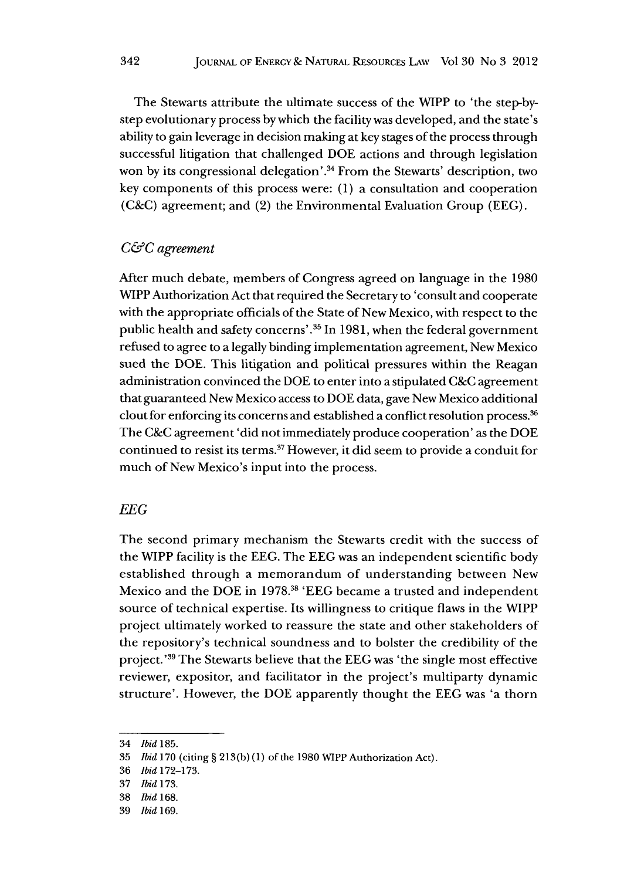The Stewarts attribute the ultimate success of the WIPP to 'the step-bystep evolutionary process **by** which the facility was developed, and the state's ability to gain leverage in decision making at **key** stages of the process through successful litigation that challenged **DOE** actions and through legislation won by its congressional delegation'.<sup>34</sup> From the Stewarts' description, two key components of this process were: **(1)** a consultation and cooperation **(C&C)** agreement; and (2) the Environmental Evaluation Group **(EEG).**

## **C&C** *agreement*

After much debate, members of Congress agreed on language in the **1980** WIPP Authorization Act that required the Secretary to 'consult and cooperate with the appropriate officials of the State of New Mexico, with respect to the public health and safety concerns'.<sup>35</sup> In 1981, when the federal government refused to agree to a legally binding implementation agreement, New Mexico sued the **DOE.** This litigation and political pressures within the Reagan administration convinced the **DOE** to enter into a stipulated **C&C** agreement that guaranteed New Mexico access to **DOE** data, gave New Mexico additional clout for enforcing its concerns and established a conflict resolution process.36 The **C&C** agreement 'did not immediately produce cooperation' as the **DOE** continued to resist its terms.<sup>37</sup> However, it did seem to provide a conduit for much of New Mexico's input into the process.

## **EEG**

The second primary mechanism the Stewarts credit with the success of the WIPP facility is the **EEG.** The **EEG** was an independent scientific body established through a memorandum of understanding between New Mexico and the **DOE** in **1978." 'EEG** became a trusted and independent source of technical expertise. Its willingness to critique flaws in the WIPP project ultimately worked to reassure the state and other stakeholders of the repository's technical soundness and to bolster the credibility of the project.'"3 The Stewarts believe that the **EEG** was 'the single most effective reviewer, expositor, and facilitator in the project's multiparty dynamic structure'. However, the **DOE** apparently thought the **EEG** was 'a thorn

<sup>34</sup> *Ibid 185.*

**<sup>35</sup>** *Ibid* **170** (citing **§ 213(b) (1)** of the **1980** WIPP Authorization Act).

**<sup>36</sup>** *Ibid* **172-173.**

**<sup>37</sup>** *Ibid 173.*

**<sup>38</sup>** *Ibid* **168.**

**<sup>39</sup>** *Ibid* **169.**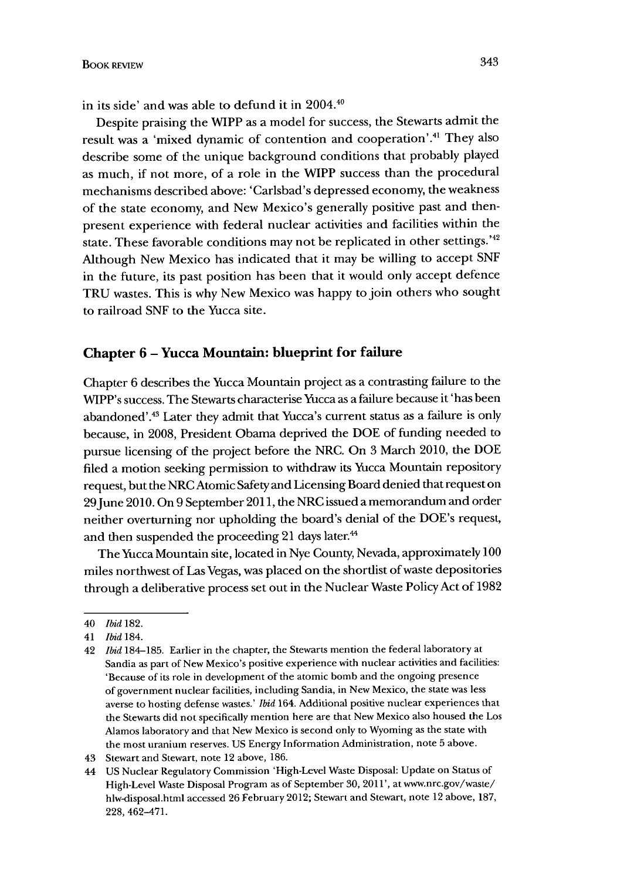in its side' and was able to defund it in 2004.

Despite praising the WIPP as a model for success, the Stewarts admit the result was a 'mixed dynamic of contention and cooperation'.' They also describe some of the unique background conditions that probably played as much, if not more, of a role in the WIPP success than the procedural mechanisms described above: 'Carlsbad's depressed economy, the weakness of the state economy, and New Mexico's generally positive past and thenpresent experience with federal nuclear activities and facilities within the state. These favorable conditions may not be replicated in other settings.<sup>142</sup> Although New Mexico has indicated that it may be willing to accept **SNF** in the future, its past position has been that it would only accept defence TRU wastes. This is why New Mexico was happy to join others who sought to railroad **SNF** to the Yucca site.

#### **Chapter 6 - Yucca Mountain: blueprint for failure**

Chapter **6** describes the Yucca Mountain project as a contrasting failure to the WIPP's success. The Stewarts characterise Yucca as a failure because it 'has been abandoned'.<sup>43</sup> Later they admit that Yucca's current status as a failure is only because, in **2008,** President Obama deprived the **DOE** of funding needed to pursue licensing of the project before the NRC. On **3** March 2010, the **DOE** filed a motion seeking permission to withdraw its Yucca Mountain repository request, but the NRC Atomic Safety and Licensing Board denied that request on 29June **2010.** On **9** September **2011,** the NRC issued a memorandum and order neither overturning nor upholding the board's denial of the DOE's request, and then suspended the proceeding 21 days later.<sup>44</sup>

The Yucca Mountain site, located in Nye County, Nevada, approximately **100** miles northwest of Las Vegas, was placed on the shortlist of waste depositories through a deliberative process set out in the Nuclear Waste Policy Act of **1982**

<sup>40</sup> *Ibid* **182.**

**<sup>41</sup>** *Ibid 184.*

<sup>42</sup> *Ibid* **184-185.** Earlier in the chapter, the Stewarts mention the federal laboratory at Sandia as part of New Mexico's positive experience with nuclear activities and facilities: 'Because of its role in development of the atomic bomb and the ongoing presence of government nuclear facilities, including Sandia, in New Mexico, the state was less averse to hosting defense wastes.' *Ibid* 164. Additional positive nuclear experiences that the Stewarts did not specifically mention here are that New Mexico also housed the Los Alamos laboratory and that New Mexico is second only to Wyoming as the state with the most uranium reserves. **US** Energy Information Administration, note **5** above.

<sup>43</sup> Stewart and Stewart, note 12 above, **186.**

<sup>44</sup> **US** Nuclear Regulatory Commission 'High-Level Waste Disposal: Update on Status of High-Level Waste Disposal Program as of September **30, 2011',** at www.nrc.gov/waste/ hlw-disposal.html accessed **26** February 2012; Stewart and Stewart, note 12 above, **187,** 228, 462-471.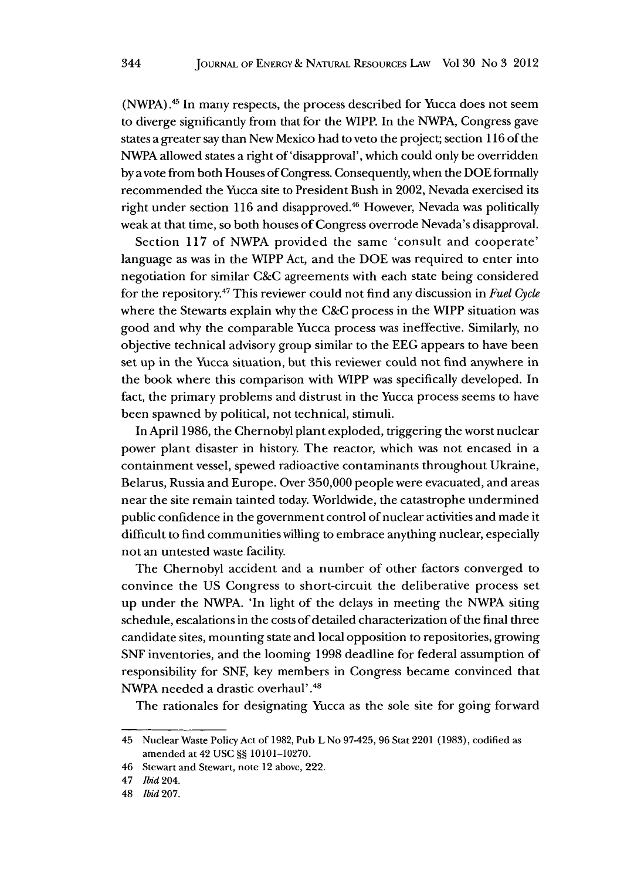(NWPA).<sup>45</sup> In many respects, the process described for Yucca does not seem to diverge significantly from that for the WIPP. In the **NWPA,** Congress gave states a greater say than New Mexico had to veto the project; section **116** of the NWPA allowed states a right of 'disapproval', which could only be overridden **by** a vote from both Houses of Congress. Consequently, when the **DOE** formally recommended the Yucca site to President Bush in 2002, Nevada exercised its right under section **116** and disapproved." However, Nevada was politically weak at that time, so both houses of Congress overrode Nevada's disapproval.

Section **117** of NWPA provided the same 'consult and cooperate' language as was in the WIPP Act, and the **DOE** was required to enter into negotiation for similar **C&C** agreements with each state being considered for the repository.<sup>47</sup> This reviewer could not find any discussion in *Fuel Cycle* where the Stewarts explain why the **C&C** process in the WIPP situation was good and why the comparable Yucca process was ineffective. Similarly, no objective technical advisory group similar to the **EEG** appears to have been set up in the Yucca situation, but this reviewer could not find anywhere in the book where this comparison with WIPP was specifically developed. In fact, the primary problems and distrust in the Yucca process seems to have been spawned **by** political, not technical, stimuli.

In April **1986,** the Chernobyl plant exploded, triggering the worst nuclear power plant disaster in history. The reactor, which was not encased in a containment vessel, spewed radioactive contaminants throughout Ukraine, Belarus, Russia and Europe. Over **350,000** people were evacuated, and areas near the site remain tainted today. Worldwide, the catastrophe undermined public confidence in the government control of nuclear activities and made it difficult to find communities willing to embrace anything nuclear, especially not an untested waste facility.

The Chernobyl accident and a number of other factors converged to convince the **US** Congress to short-circuit the deliberative process set up under the NWPA. 'In light of the delays in meeting the **NWPA siting** schedule, escalations in the costs of detailed characterization of the final three candidate sites, mounting state and local opposition to repositories, growing **SNF** inventories, and the looming **1998** deadline for federal assumption of responsibility for **SNF,** key members in Congress became convinced that NWPA needed a drastic overhaul'.18

The rationales for designating Yucca as the sole site for going forward

<sup>45</sup> Nuclear Waste Policy Act of **1982,** Pub L No **97-425, 96** Stat 2201 **(1983),** codified as amended at 42 **USC §§ 10101-10270.**

<sup>46</sup> Stewart and Stewart, note 12 above, 222.

<sup>47</sup> *Ibid* 204.

<sup>48</sup> *Ibid 207.*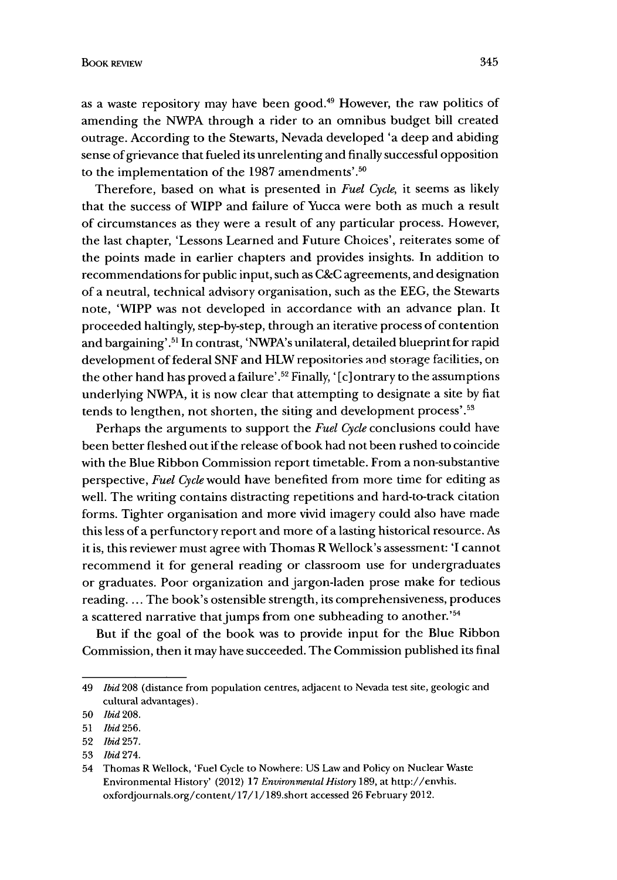as a waste repository may have been good.<sup>49</sup> However, the raw politics of amending the **NWPA** through a rider to an omnibus budget bill created outrage. According to the Stewarts, Nevada developed 'a deep and abiding sense of grievance that fueled its unrelenting and finally successful opposition to the implementation of the 1987 amendments'.<sup>50</sup>

Therefore, based on what is presented in *Fuel Cycle,* it seems as **likely** that the success of WIPP and failure of Yucca were both as much a result of circumstances as they were a result of any particular process. However, the last chapter, 'Lessons Learned and Future Choices', reiterates some of the points made in earlier chapters and provides insights. In addition to recommendations for public input, such as **C&C** agreements, and designation of a neutral, technical advisory organisation, such as the **EEG,** the Stewarts note, 'WIPP was not developed in accordance with an advance plan. It proceeded haltingly, step-by-step, through an iterative process of contention and bargaining'.<sup>51</sup> In contrast, 'NWPA's unilateral, detailed blueprint for rapid development of federal **SNF** and HLW repositories and storage facilities, on the other hand has proved a failure'.<sup>52</sup> Finally, '[c] ontrary to the assumptions underlying NWPA, it is now clear that attempting to designate a site **by** fiat tends to lengthen, not shorten, the siting and development process'.<sup>53</sup>

Perhaps the arguments to support the *Fuel Cycle* conclusions could have been better fleshed out if the release of book had not been rushed to coincide with the Blue Ribbon Commission report timetable. From a non-substantive perspective, *Fuel Cycle* would have benefited from more time for editing as well. The writing contains distracting repetitions and hard-to-track citation forms. Tighter organisation and more vivid imagery could also have made this less of a perfunctory report and more of a lasting historical resource. As it is, this reviewer must agree with Thomas R Wellock's assessment: 'I cannot recommend it for general reading or classroom use for undergraduates or graduates. Poor organization and jargon-laden prose make for tedious reading. **...** The book's ostensible strength, its comprehensiveness, produces a scattered narrative that jumps from one subheading to another.'

But if the goal of the book was to provide input for the Blue Ribbon Commission, then it may have succeeded. The Commission published its final

- **52** *Ibid 257.*
- **53** *Ibid 274.*

<sup>49</sup> *Ibid* **208** (distance from population centres, adjacent to Nevada test **site,** geologic and cultural advantages).

**<sup>50</sup>** *Ibid* **208.**

**<sup>51</sup>** *Ibid 256.*

<sup>54</sup> Thomas R Wellock, 'Fuel Cycle to Nowhere: **US** Law and Policy on Nuclear Waste Environmental History' (2012) **17** *Environmental History* **189,** at http://envhis. oxfordjournals.org/content/17/1/189.short accessed **26** February 2012.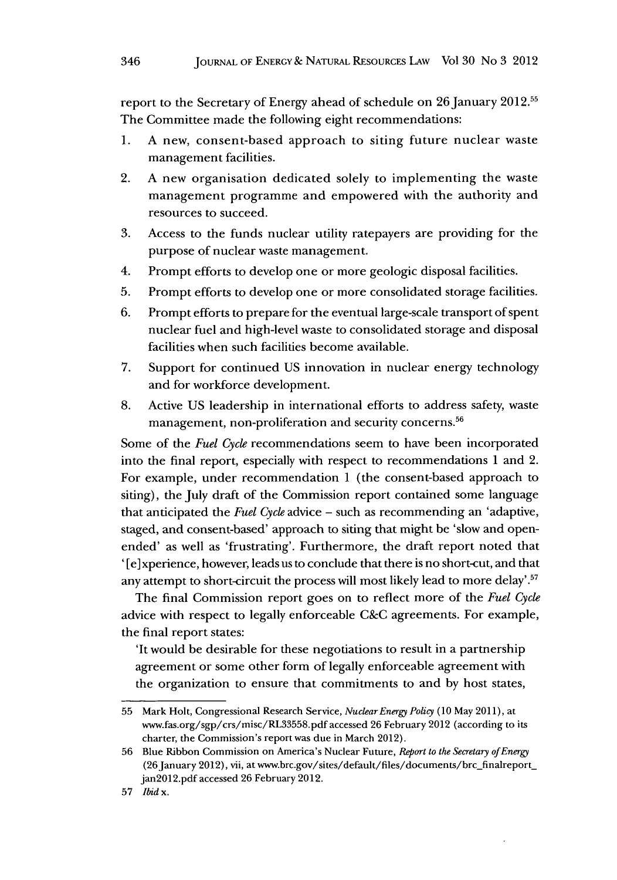report to the Secretary of Energy ahead of schedule on 26 January 2012.<sup>55</sup> The Committee made the following eight recommendations:

- **1. A** new, consent-based approach to siting future nuclear waste management facilities.
- 2. **A** new organisation dedicated solely to implementing the waste management programme and empowered with the authority and resources to succeed.
- **3.** Access to the funds nuclear utility ratepayers are providing for the purpose of nuclear waste management.
- 4. Prompt efforts to develop one or more geologic disposal facilities.
- **5.** Prompt efforts to develop one or more consolidated storage facilities.
- **6.** Prompt efforts to prepare for the eventual large-scale transport of spent nuclear fuel and high-level waste to consolidated storage and disposal facilities when such facilities become available.
- **7.** Support for continued **US** innovation in nuclear energy technology and for workforce development.
- **8.** Active **US** leadership in international efforts to address safety, waste management, non-proliferation and security concerns.<sup>56</sup>

Some of the *Fuel Cycle* recommendations seem to have been incorporated into the final report, especially with respect to recommendations 1 and 2. For example, under recommendation 1 (the consent-based approach to siting), the July draft of the Commission report contained some language that anticipated the *Fuel Cycle* advice **-** such as recommending an 'adaptive, staged, and consent-based' approach to siting that might be 'slow and openended' as well as 'frustrating'. Furthermore, the draft report noted that 'l[e] xperience, however, leads us to conclude that there is no short-cut, and that any attempt to short-circuit the process will most likely lead to more delay'.<sup>57</sup>

The **final** Commission report goes on to reflect more of the *Fuel Cycle* advice with respect to legally enforceable **C&C** agreements. For example, the final report states:

'It would be desirable for these negotiations to result in a partnership agreement or some other form of legally enforceable agreement with the organization to ensure that commitments to and **by** host states,

<sup>55</sup> Mark Holt, Congressional Research Service, *Nuclear Energy Policy* (10 May 2011), at www.fas.org/sgp/crs/misc/RL33558.pdf accessed **26** February 2012 (according to its charter, the Commission's report was due in March 2012).

**<sup>56</sup>** Blue Ribbon Commission on America's Nuclear Future, *Report to the Secretary ofEnergy* (26 January 2012), vii, at www.brc.gov/sites/default/files/documents/brc\_finalreport\_ jan2012.pdf accessed **26** February 2012.

**<sup>57</sup>** *Ibid x.*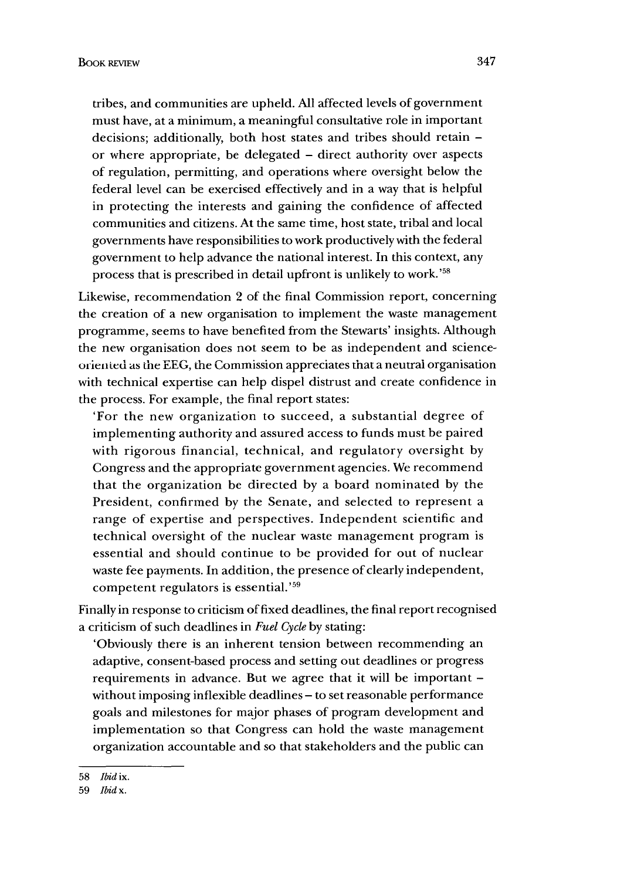tribes, and communities are upheld. **All** affected levels of government must have, at a minimum, a meaningful consultative role in important decisions; additionally, both host states and tribes should retain  or where appropriate, be delegated **-** direct authority over aspects of regulation, permitting, and operations where oversight below the federal level can be exercised effectively and in a way that is helpful in protecting the interests and gaining the confidence of affected communities and citizens. At the same time, host state, tribal and local governments have responsibilities to work productively with the federal government to help advance the national interest. In this context, any process that is prescribed in detail upfront is unlikely to work.'<sup>58</sup>

Likewise, recommendation 2 of the final Commission report, concerning the creation of a new organisation to implement the waste management programme, seems to have benefited from the Stewarts' insights. Although the new organisation does not seem to be as independent and scienceorien ied as the **EEG,** the Commission appreciates that a neutral organisation with technical expertise can help dispel distrust and create confidence in the process. For example, the final report states:

'For the new organization to succeed, a substantial degree of implementing authority and assured access to funds must be paired with rigorous financial, technical, and regulatory oversight **by** Congress and the appropriate government agencies. We recommend that the organization be directed **by** a board nominated **by** the President, confirmed **by** the Senate, and selected to represent a range of expertise and perspectives. Independent scientific and technical oversight of the nuclear waste management program is essential and should continue to be provided for out of nuclear waste fee payments. In addition, the presence of clearly independent, competent regulators is essential.'

Finally in response to criticism of fixed deadlines, the final report recognised a criticism of such deadlines in *Fuel Cycle* **by** stating:

'Obviously there is an inherent tension between recommending an adaptive, consent-based process and setting out deadlines or progress requirements in advance. But we agree that it will be important  without imposing inflexible deadlines **-** to set reasonable performance goals and milestones for major phases of program development and implementation so that Congress can hold the waste management organization accountable and so that stakeholders and the public can

*<sup>58</sup> Ibid ix.*

**<sup>59</sup>** *Ibid x.*